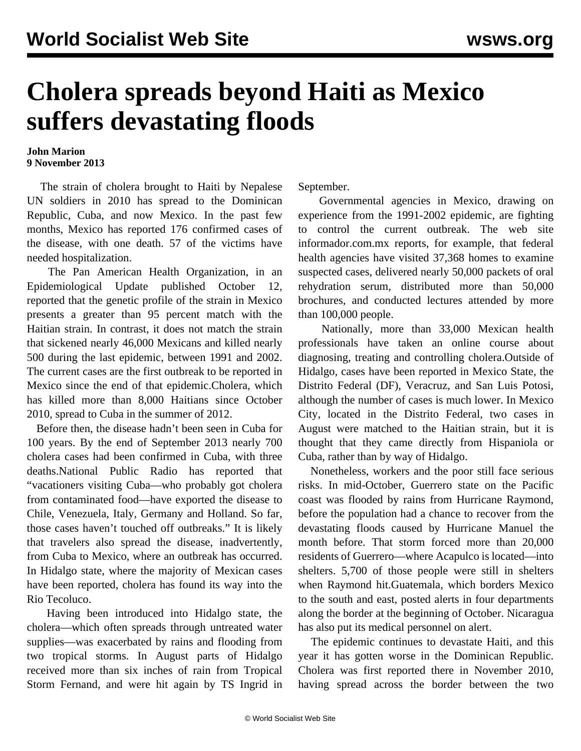## **Cholera spreads beyond Haiti as Mexico suffers devastating floods**

## **John Marion 9 November 2013**

 The strain of cholera brought to Haiti by Nepalese UN soldiers in 2010 has spread to the Dominican Republic, Cuba, and now Mexico. In the past few months, Mexico has reported 176 confirmed cases of the disease, with one death. 57 of the victims have needed hospitalization.

 The Pan American Health Organization, in an Epidemiological Update published October 12, reported that the genetic profile of the strain in Mexico presents a greater than 95 percent match with the Haitian strain. In contrast, it does not match the strain that sickened nearly 46,000 Mexicans and killed nearly 500 during the last epidemic, between 1991 and 2002. The current cases are the first outbreak to be reported in Mexico since the end of that epidemic.Cholera, which has killed more than 8,000 Haitians since October 2010, spread to Cuba in the summer of 2012.

 Before then, the disease hadn't been seen in Cuba for 100 years. By the end of September 2013 nearly 700 cholera cases had been confirmed in Cuba, with three deaths.National Public Radio has reported that "vacationers visiting Cuba—who probably got cholera from contaminated food—have exported the disease to Chile, Venezuela, Italy, Germany and Holland. So far, those cases haven't touched off outbreaks." It is likely that travelers also spread the disease, inadvertently, from Cuba to Mexico, where an outbreak has occurred. In Hidalgo state, where the majority of Mexican cases have been reported, cholera has found its way into the Rio Tecoluco.

 Having been introduced into Hidalgo state, the cholera—which often spreads through untreated water supplies—was exacerbated by rains and flooding from two tropical storms. In August parts of Hidalgo received more than six inches of rain from Tropical Storm Fernand, and were hit again by TS Ingrid in September.

 Governmental agencies in Mexico, drawing on experience from the 1991-2002 epidemic, are fighting to control the current outbreak. The web site informador.com.mx reports, for example, that federal health agencies have visited 37,368 homes to examine suspected cases, delivered nearly 50,000 packets of oral rehydration serum, distributed more than 50,000 brochures, and conducted lectures attended by more than 100,000 people.

 Nationally, more than 33,000 Mexican health professionals have taken an online course about diagnosing, treating and controlling cholera.Outside of Hidalgo, cases have been reported in Mexico State, the Distrito Federal (DF), Veracruz, and San Luis Potosi, although the number of cases is much lower. In Mexico City, located in the Distrito Federal, two cases in August were matched to the Haitian strain, but it is thought that they came directly from Hispaniola or Cuba, rather than by way of Hidalgo.

 Nonetheless, workers and the poor still face serious risks. In mid-October, Guerrero state on the Pacific coast was flooded by rains from Hurricane Raymond, before the population had a chance to recover from the devastating floods caused by Hurricane Manuel the month before. That storm forced more than 20,000 residents of Guerrero—where Acapulco is located—into shelters. 5,700 of those people were still in shelters when Raymond hit.Guatemala, which borders Mexico to the south and east, posted alerts in four departments along the border at the beginning of October. Nicaragua has also put its medical personnel on alert.

 The epidemic continues to devastate Haiti, and this year it has gotten worse in the Dominican Republic. Cholera was first reported there in November 2010, having spread across the border between the two